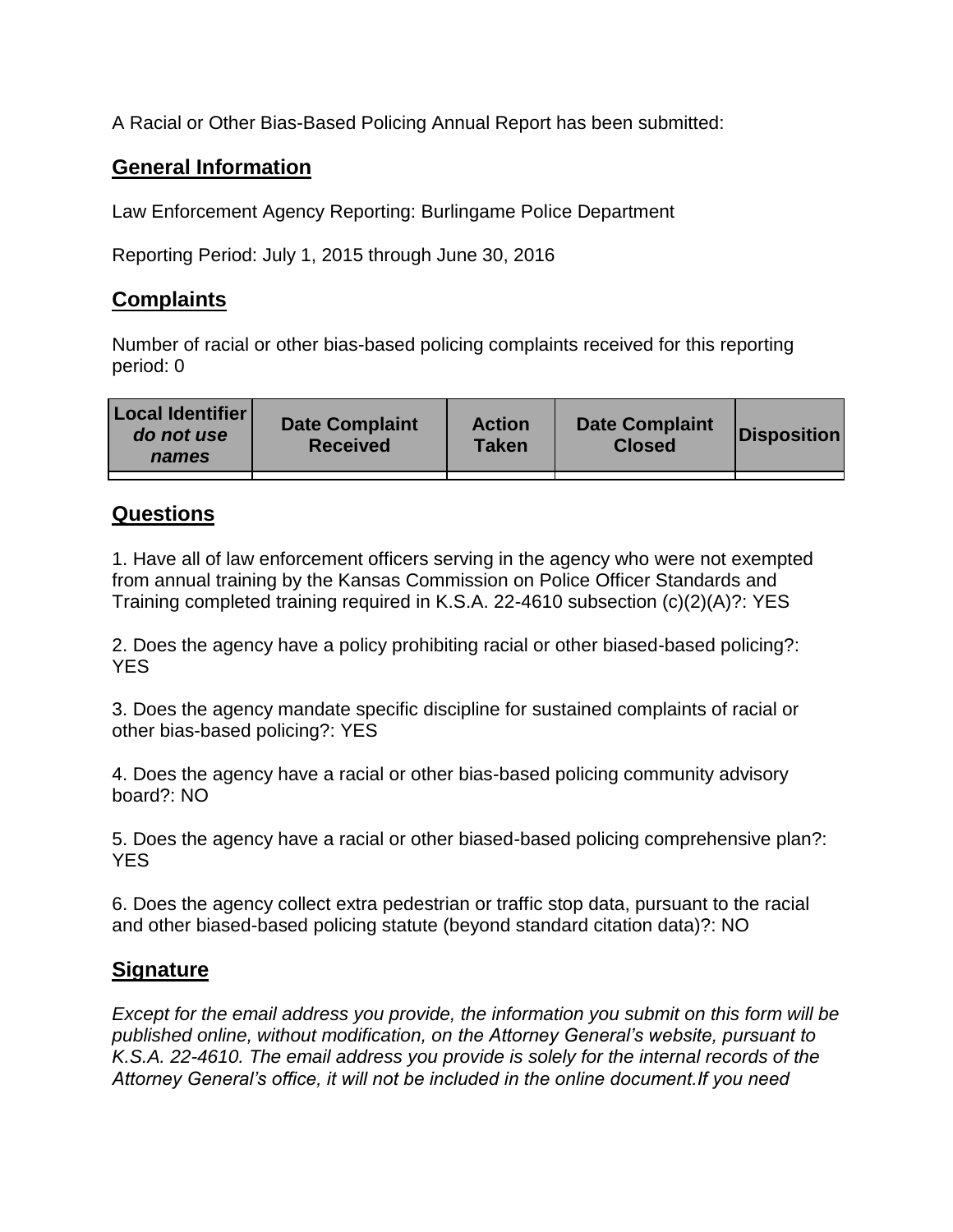A Racial or Other Bias-Based Policing Annual Report has been submitted:

## **General Information**

Law Enforcement Agency Reporting: Burlingame Police Department

Reporting Period: July 1, 2015 through June 30, 2016

## **Complaints**

Number of racial or other bias-based policing complaints received for this reporting period: 0

| <b>Local Identifier</b><br>do not use<br>names | <b>Date Complaint</b><br><b>Received</b> | <b>Action</b><br><b>Taken</b> | <b>Date Complaint</b><br><b>Closed</b> | Disposition |
|------------------------------------------------|------------------------------------------|-------------------------------|----------------------------------------|-------------|
|                                                |                                          |                               |                                        |             |

## **Questions**

1. Have all of law enforcement officers serving in the agency who were not exempted from annual training by the Kansas Commission on Police Officer Standards and Training completed training required in K.S.A. 22-4610 subsection (c)(2)(A)?: YES

2. Does the agency have a policy prohibiting racial or other biased-based policing?: YES

3. Does the agency mandate specific discipline for sustained complaints of racial or other bias-based policing?: YES

4. Does the agency have a racial or other bias-based policing community advisory board?: NO

5. Does the agency have a racial or other biased-based policing comprehensive plan?: YES

6. Does the agency collect extra pedestrian or traffic stop data, pursuant to the racial and other biased-based policing statute (beyond standard citation data)?: NO

## **Signature**

*Except for the email address you provide, the information you submit on this form will be published online, without modification, on the Attorney General's website, pursuant to K.S.A. 22-4610. The email address you provide is solely for the internal records of the Attorney General's office, it will not be included in the online document.If you need*